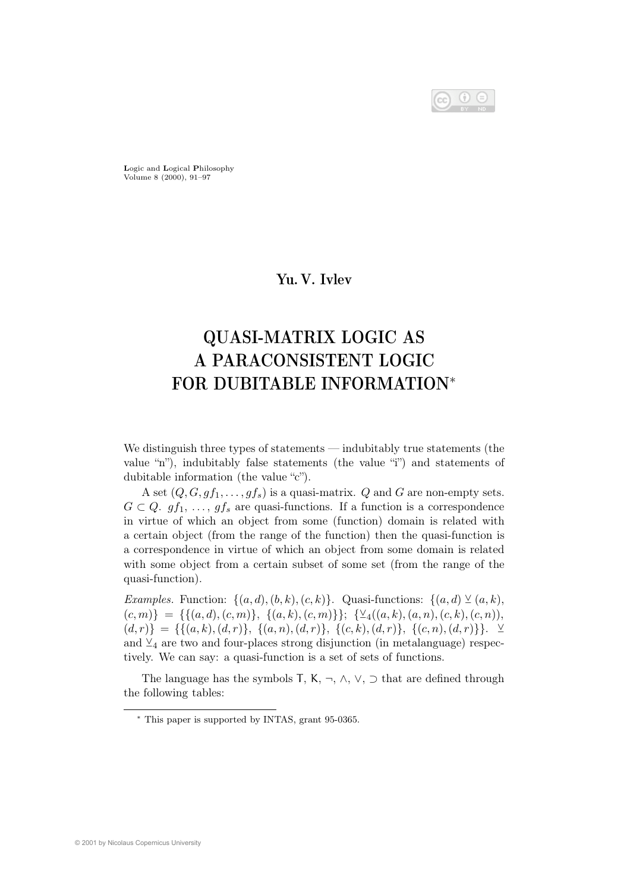$$
\bigcirc \hspace{-7.75pt} \bigcirc \hspace{-7.75pt} \bigcirc \hspace{-7.75pt} \bigcirc \hspace{-7.75pt} \bigcirc \hspace{-7.75pt} \bigcirc \hspace{-7.75pt} \bigcirc \hspace{-7.75pt} \bigcirc \hspace{-7.75pt} \bigcirc
$$

Logic and Logical Philosophy Volume 8 (2000), 91–97

## Yu. V. Ivlev

# QUASI-MATRIX LOGIC AS A PARACONSISTENT LOGIC FOR DUBITABLE INFORMATION<sup>∗</sup>

We distinguish three types of statements — indubitably true statements (the value "n"), indubitably false statements (the value "i") and statements of dubitable information (the value "c").

A set  $(Q, G, gf_1, \ldots, gf_s)$  is a quasi-matrix. Q and G are non-empty sets.  $G \subset Q$ .  $gf_1, \ldots, gf_s$  are quasi-functions. If a function is a correspondence in virtue of which an object from some (function) domain is related with a certain object (from the range of the function) then the quasi-function is a correspondence in virtue of which an object from some domain is related with some object from a certain subset of some set (from the range of the quasi-function).

Examples. Function:  $\{(a, d), (b, k), (c, k)\}\$ . Quasi-functions:  $\{(a, d) \vee (a, k),$  $(c, m)$ } = {{ $(a, d), (c, m)$ }, { $(a, k), (c, m)$ }}; { $\veeeq_{4}$  $((a, k), (a, n), (c, k), (c, n)),$  $(d, r)$ } = {{ $(a, k), (d, r)$ }, { $(a, n), (d, r)$ }, { $(c, k), (d, r)$ }, { $(c, n), (d, r)$ }}. ⊻ and  $\mathcal{L}_4$  are two and four-places strong disjunction (in metalanguage) respectively. We can say: a quasi-function is a set of sets of functions.

The language has the symbols T, K,  $\neg$ ,  $\wedge$ ,  $\vee$ ,  $\supset$  that are defined through the following tables:

<sup>∗</sup> This paper is supported by INTAS, grant 95-0365.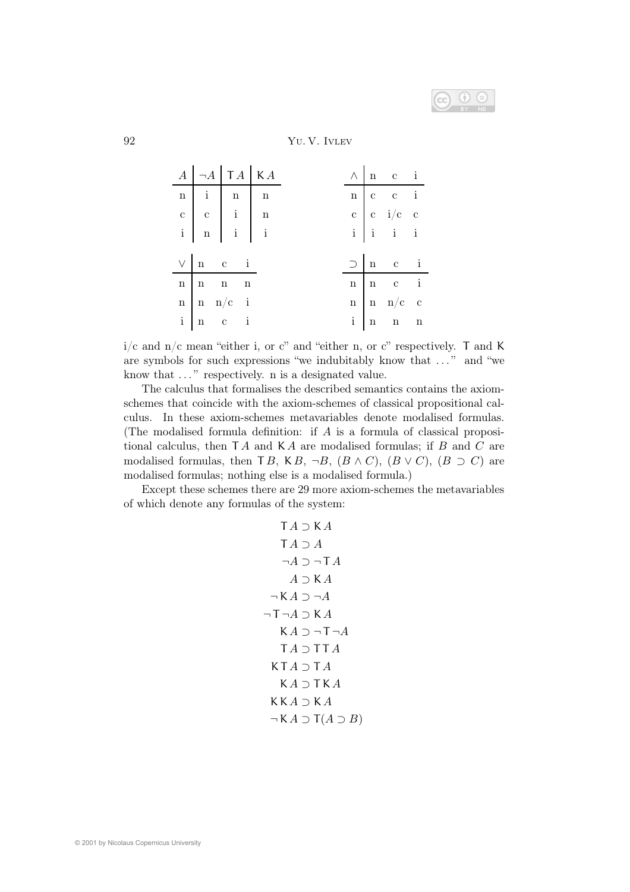

## 92 Yu. V. Ivlev

|  | $A$ $\neg A$ $\neg A$ $\neg A$ $\swarrow$ $A$                                                                                                                        |  |  | $\begin{tabular}{ c c c c c } \hline $\wedge$ & $n$ & $c$ & $i$ \\ \hline \end{tabular}$                                                                      |  |
|--|----------------------------------------------------------------------------------------------------------------------------------------------------------------------|--|--|---------------------------------------------------------------------------------------------------------------------------------------------------------------|--|
|  | $\begin{tabular}{ c c c c c } \hline n & i & n & n \\ \hline $c$ & $c$ & $i$ & $n$ \\ $i$ & $n$ & $i$ & $i$ \\ \hline $i$ & $n$ & $i$ & $i$ \\ \hline \end{tabular}$ |  |  | $\begin{tabular}{c cc cc} \hline n & c & c & i \\ \hline c & c & i/c & c \\ i & i & i & i \\ \hline \end{tabular}$                                            |  |
|  |                                                                                                                                                                      |  |  |                                                                                                                                                               |  |
|  |                                                                                                                                                                      |  |  |                                                                                                                                                               |  |
|  |                                                                                                                                                                      |  |  |                                                                                                                                                               |  |
|  |                                                                                                                                                                      |  |  |                                                                                                                                                               |  |
|  | $\begin{tabular}{c cc} $\vee$ & $n$ & $c$ & $i$ \\ \hline $n$ & $n$ & $n$ & $n$ \\ $n$ & $n$ & $n/c$ & $i$ \\ $i$ & $n$ & $c$ & $i$ \\ \end{tabular}$                |  |  | $\begin{tabular}{c ccccc} & $\supset$ & $n$ & $c$ & $i$ \\ \hline $n$ & $n$ & $c$ & $i$ \\ $n$ & $n$ & $n/c$ & $c$ \\ $i$ & $n$ & $n$ & $n$ \\ \end{tabular}$ |  |
|  |                                                                                                                                                                      |  |  |                                                                                                                                                               |  |
|  |                                                                                                                                                                      |  |  |                                                                                                                                                               |  |

 $i/c$  and  $n/c$  mean "either i, or c" and "either n, or c" respectively. T and K are symbols for such expressions "we indubitably know that . . . " and "we know that  $\dots$ " respectively. n is a designated value.

The calculus that formalises the described semantics contains the axiomschemes that coincide with the axiom-schemes of classical propositional calculus. In these axiom-schemes metavariables denote modalised formulas. (The modalised formula definition: if A is a formula of classical propositional calculus, then  $TA$  and  $KA$  are modalised formulas; if  $B$  and  $C$  are modalised formulas, then T B, K B, ¬B,  $(B \wedge C)$ ,  $(B \vee C)$ ,  $(B \supset C)$  are modalised formulas; nothing else is a modalised formula.)

Except these schemes there are 29 more axiom-schemes the metavariables of which denote any formulas of the system:

$$
\begin{array}{c}\nTA \supset KA \\
TA \supset A \\
\neg A \supset \neg TA \\
A \supset KA \\
\neg KA \supset \neg A \\
\neg T \neg A \supset KA \\
KA \supset \neg T \neg A \\
TA \supset TA \\
KA \supset TA \\
KA \supset TA \\
KA \supset KA \\
\wedge A \supset KA \\
\wedge A \supset KA \\
\neg KA \supset \neg A \\
\end{array}
$$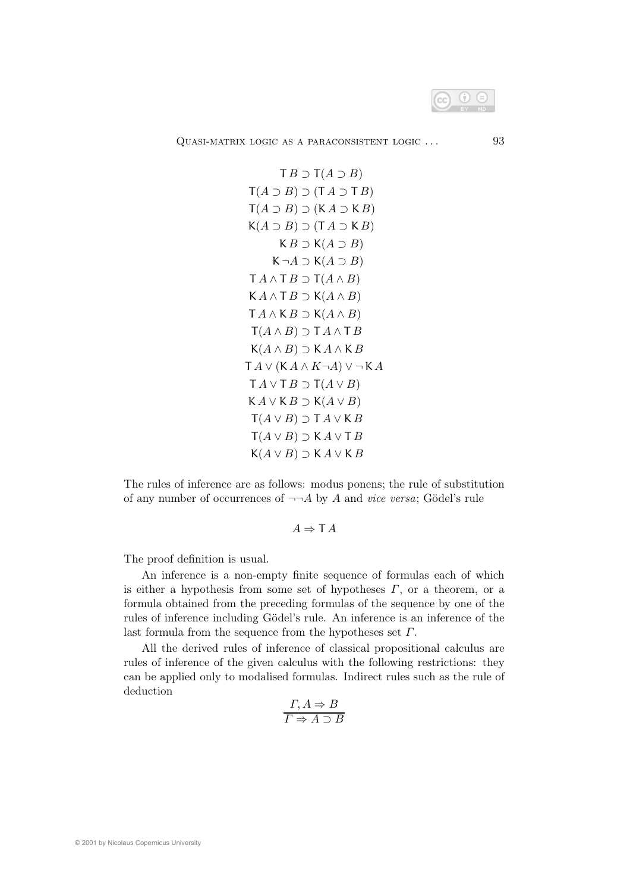

QUASI-MATRIX LOGIC AS A PARACONSISTENT LOGIC ... 93

$$
\begin{aligned}\n& \text{T } B \supset \text{T} (A \supset B) \\
& \text{T} (A \supset B) \supset (\text{T } A \supset \text{T } B) \\
& \text{T} (A \supset B) \supset (\text{K } A \supset \text{K } B) \\
& \text{K } B \supset (\text{K } A \supset B) \\
& \text{K } B \supset \text{K} (A \supset B) \\
& \text{K } \neg A \supset \text{K} (A \supset B) \\
& \text{T } A \wedge \text{T } B \supset \text{T} (A \wedge B) \\
& \text{T } A \wedge \text{K } B \supset \text{K} (A \wedge B) \\
& \text{T } A \wedge \text{K } B \supset \text{K} (A \wedge B) \\
& \text{T } (A \wedge B) \supset \text{T } A \wedge \text{T } B \\
& \text{K } (A \wedge B) \supset \text{K } A \wedge \text{K } B \\
& \text{T } A \vee (\text{K } A \wedge \text{K } \neg A) \vee \neg \text{K } A \\
& \text{T } A \vee \text{T } B \supset \text{T} (A \vee B) \\
& \text{K } A \vee \text{K } B \supset \text{K} (A \vee B) \\
& \text{T } (A \vee B) \supset \text{T } A \vee \text{K } B \\
& \text{T } (A \vee B) \supset \text{K } A \vee \text{T } B \\
& \text{K } (A \vee B) \supset \text{K } A \vee \text{K } B\n\end{aligned}
$$

The rules of inference are as follows: modus ponens; the rule of substitution of any number of occurrences of  $\neg\neg A$  by A and vice versa; Gödel's rule

## $A \Rightarrow \mathsf{T} A$

The proof definition is usual.

An inference is a non-empty finite sequence of formulas each of which is either a hypothesis from some set of hypotheses  $\Gamma$ , or a theorem, or a formula obtained from the preceding formulas of the sequence by one of the rules of inference including Gödel's rule. An inference is an inference of the last formula from the sequence from the hypotheses set  $\Gamma$ .

All the derived rules of inference of classical propositional calculus are rules of inference of the given calculus with the following restrictions: they can be applied only to modalised formulas. Indirect rules such as the rule of deduction

$$
\frac{\Gamma, A \Rightarrow B}{\Gamma \Rightarrow A \supset B}
$$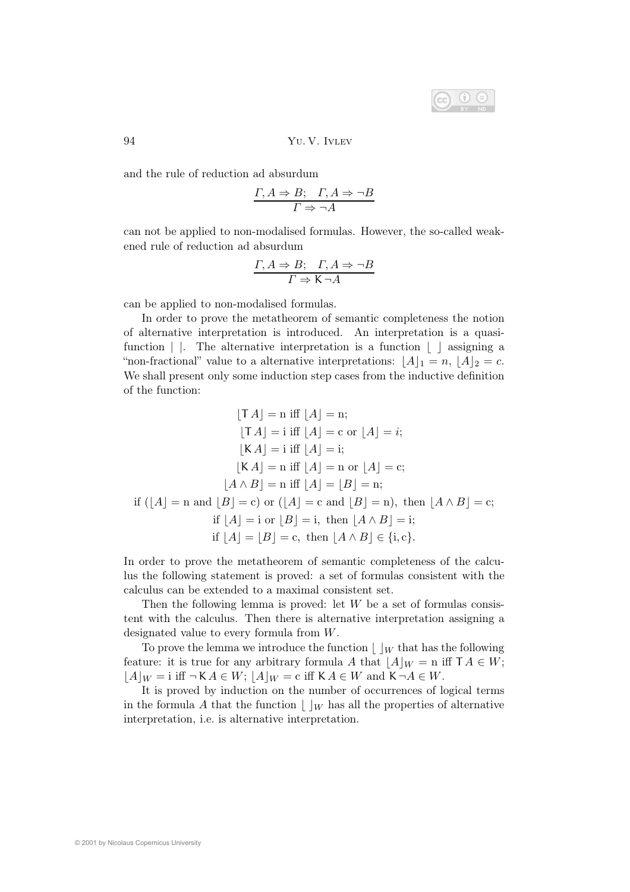

94 Yu. V. Ivlev

and the rule of reduction ad absurdum

$$
\frac{\varGamma, A\Rightarrow B; \quad \varGamma, A\Rightarrow \neg B}{\varGamma\Rightarrow \neg A}
$$

can not be applied to non-modalised formulas. However, the so-called weakened rule of reduction ad absurdum

$$
\frac{\Gamma, A \Rightarrow B; \quad \Gamma, A \Rightarrow \neg B}{\Gamma \Rightarrow \mathsf{K} \neg A}
$$

can be applied to non-modalised formulas.

In order to prove the metatheorem of semantic completeness the notion of alternative interpretation is introduced. An interpretation is a quasifunction  $\vert \cdot \vert$ . The alternative interpretation is a function  $\vert \cdot \vert$  assigning a "non-fractional" value to a alternative interpretations:  $\lfloor A \rfloor_1 = n, \lfloor A \rfloor_2 = c$ . We shall present only some induction step cases from the inductive definition of the function:

$$
[\mathsf{T} A] = \mathsf{n} \text{ iff } [A] = \mathsf{n};
$$

$$
[\mathsf{T} A] = \mathsf{i} \text{ iff } [A] = \mathsf{c} \text{ or } [A] = i;
$$

$$
[\mathsf{K} A] = \mathsf{i} \text{ iff } [A] = \mathsf{i};
$$

$$
[\mathsf{K} A] = \mathsf{n} \text{ iff } [A] = \mathsf{n} \text{ or } [A] = \mathsf{c};
$$

$$
[A \land B] = \mathsf{n} \text{ iff } [A] = [B] = \mathsf{n};
$$

$$
\text{if } ([A] = \mathsf{n} \text{ and } [B] = \mathsf{c}) \text{ or } ([A] = \mathsf{c} \text{ and } [B] = \mathsf{n}), \text{ then } [A \land B] = \mathsf{c};
$$

$$
\text{if } [A] = \mathsf{i} \text{ or } [B] = \mathsf{i}, \text{ then } [A \land B] = \mathsf{i};
$$

$$
\text{if } [A] = [B] = \mathsf{c}, \text{ then } [A \land B] \in \{\mathsf{i}, \mathsf{c}\}.
$$

In order to prove the metatheorem of semantic completeness of the calculus the following statement is proved: a set of formulas consistent with the calculus can be extended to a maximal consistent set.

Then the following lemma is proved: let  $W$  be a set of formulas consistent with the calculus. Then there is alternative interpretation assigning a designated value to every formula from W.

To prove the lemma we introduce the function  $\vert \ \vert_W$  that has the following feature: it is true for any arbitrary formula A that  $|A|_W = n$  iff  $TA \in W$ ;  $|A|_W = i$  iff  $\neg K A \in W$ ;  $|A|_W = c$  iff  $K A \in W$  and  $K \neg A \in W$ .

It is proved by induction on the number of occurrences of logical terms in the formula A that the function  $\vert \ \vert_W$  has all the properties of alternative interpretation, i.e. is alternative interpretation.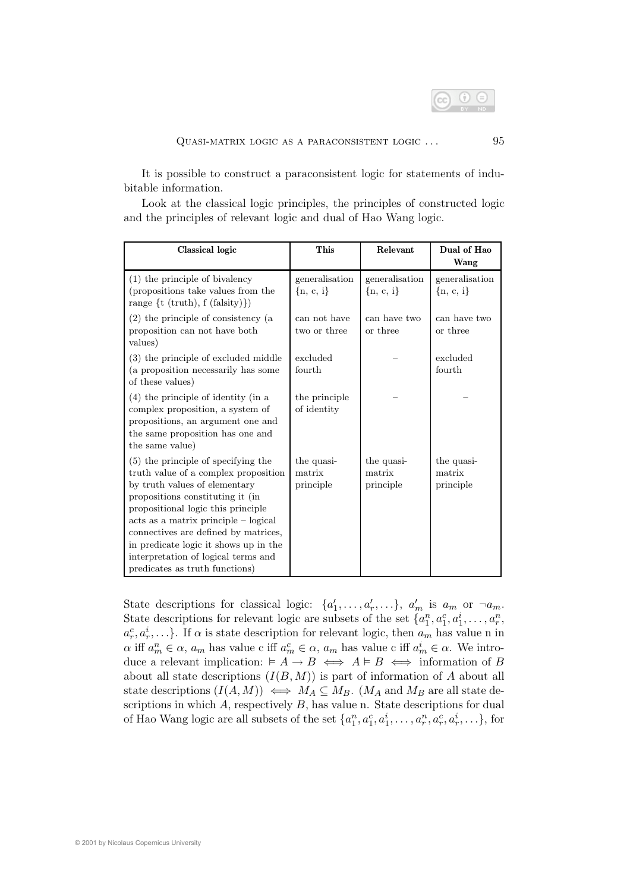

It is possible to construct a paraconsistent logic for statements of indubitable information.

Look at the classical logic principles, the principles of constructed logic and the principles of relevant logic and dual of Hao Wang logic.

| Classical logic                                                                                                                                                                                                                                                                                                                                                                            | This                              | Relevant                          | Dual of Hao<br>Wang               |
|--------------------------------------------------------------------------------------------------------------------------------------------------------------------------------------------------------------------------------------------------------------------------------------------------------------------------------------------------------------------------------------------|-----------------------------------|-----------------------------------|-----------------------------------|
| $(1)$ the principle of bivalency<br>(propositions take values from the<br>range $\{t \text{ (truth)}, f \text{ (falsity)}\}\$                                                                                                                                                                                                                                                              | generalisation<br>$\{n, c, i\}$   | generalisation<br>$\{n, c, i\}$   | generalisation<br>$\{n, c, i\}$   |
| $(2)$ the principle of consistency (a<br>proposition can not have both<br>values)                                                                                                                                                                                                                                                                                                          | can not have<br>two or three      | can have two<br>or three          | can have two<br>or three          |
| (3) the principle of excluded middle<br>(a proposition necessarily has some<br>of these values)                                                                                                                                                                                                                                                                                            | excluded<br>fourth                |                                   | excluded<br>fourth                |
| $(4)$ the principle of identity (in a<br>complex proposition, a system of<br>propositions, an argument one and<br>the same proposition has one and<br>the same value)                                                                                                                                                                                                                      | the principle<br>of identity      |                                   |                                   |
| (5) the principle of specifying the<br>truth value of a complex proposition<br>by truth values of elementary<br>propositions constituting it (in<br>propositional logic this principle<br>$acts as a matrix principle - logical$<br>connectives are defined by matrices,<br>in predicate logic it shows up in the<br>interpretation of logical terms and<br>predicates as truth functions) | the quasi-<br>matrix<br>principle | the quasi-<br>matrix<br>principle | the quasi-<br>matrix<br>principle |

State descriptions for classical logic:  $\{a'_1, \ldots, a'_r, \ldots\}$ ,  $a'_m$  is  $a_m$  or  $\neg a_m$ . State descriptions for relevant logic are subsets of the set  $\{a_1^n, a_1^c, a_1^i, \ldots, a_r^n\}$  $a_r^c, a_r^i, \ldots$ . If  $\alpha$  is state description for relevant logic, then  $a_m$  has value n in  $\alpha$  iff  $a_m^n \in \alpha$ ,  $a_m$  has value c iff  $a_m^c \in \alpha$ ,  $a_m$  has value c iff  $a_m^i \in \alpha$ . We introduce a relevant implication:  $\vdash A \rightarrow B \iff A \models B \iff$  information of B about all state descriptions  $(I(B, M))$  is part of information of A about all state descriptions  $(I(A, M)) \iff M_A \subseteq M_B$ . ( $M_A$  and  $M_B$  are all state descriptions in which  $A$ , respectively  $B$ , has value n. State descriptions for dual of Hao Wang logic are all subsets of the set  $\{a_1^n, a_1^c, a_1^i, \ldots, a_r^n, a_r^c, a_r^i, \ldots\}$ , for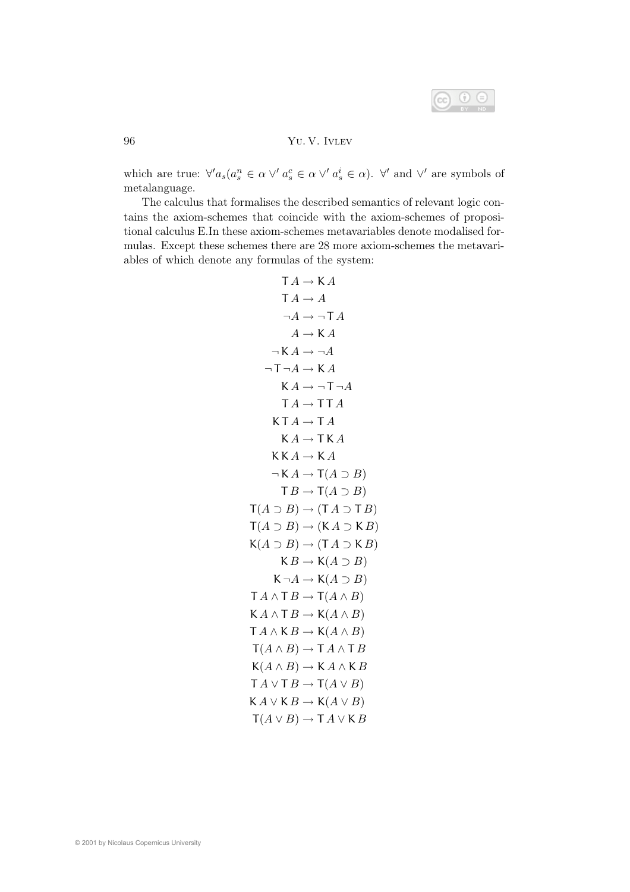

## 96 Yu. V. Ivlev

which are true:  $\forall' a_s (a_s^n \in \alpha \lor a_s^c \in \alpha \lor a_s^i \in \alpha)$ .  $\forall'$  and  $\lor'$  are symbols of metalanguage.

The calculus that formalises the described semantics of relevant logic contains the axiom-schemes that coincide with the axiom-schemes of propositional calculus E.In these axiom-schemes metavariables denote modalised formulas. Except these schemes there are 28 more axiom-schemes the metavariables of which denote any formulas of the system:

$$
TA \rightarrow KA
$$
  
\n
$$
TA \rightarrow A
$$
  
\n
$$
\neg A \rightarrow \neg TA
$$
  
\n
$$
A \rightarrow KA
$$
  
\n
$$
\neg A \rightarrow \neg A
$$
  
\n
$$
\neg T \neg A \rightarrow KA
$$
  
\n
$$
KA \rightarrow \neg T \neg A
$$
  
\n
$$
TA \rightarrow \neg T \neg A
$$
  
\n
$$
TA \rightarrow \neg T \neg A
$$
  
\n
$$
KA \rightarrow \neg T \neg A
$$
  
\n
$$
KA \rightarrow \neg T \neg A
$$
  
\n
$$
KA \rightarrow \neg T \neg A
$$
  
\n
$$
KA \rightarrow \neg T \neg A
$$
  
\n
$$
KA \rightarrow \neg T \neg A
$$
  
\n
$$
KA \rightarrow \neg T \neg A
$$
  
\n
$$
KA \rightarrow \neg T \neg A
$$
  
\n
$$
KA \rightarrow \neg T \neg A
$$
  
\n
$$
KA \rightarrow \neg T \neg A
$$
  
\n
$$
KA \rightarrow \neg T \neg A
$$
  
\n
$$
TA \rightarrow \neg T \neg A
$$
  
\n
$$
TA \rightarrow \neg T \neg A
$$
  
\n
$$
TA \rightarrow \neg T \neg A
$$
  
\n
$$
TA \rightarrow \neg T \neg A
$$
  
\n
$$
TA \rightarrow \neg T \neg A
$$
  
\n
$$
KA \rightarrow \neg T \neg A
$$
  
\n
$$
KA \rightarrow \neg T \neg A
$$
  
\n
$$
KA \rightarrow \neg T \neg A
$$
  
\n
$$
KA \rightarrow \neg T \neg A
$$
  
\n
$$
KA \rightarrow \neg T \neg A
$$
  
\n
$$
KA \rightarrow \neg T \neg A
$$
  
\n
$$
KA \rightarrow \neg T \neg A
$$
  
\n
$$
KA \rightarrow \neg T \neg A
$$
  
\n
$$
KA \rightarrow \neg T \neg A
$$
  
\n
$$
KA \rightarrow \neg T \neg A
$$
  
\n
$$
KA \rightarrow \neg T \neg A
$$
  
\n
$$
KA \rightarrow \neg T \neg A
$$
  
\n
$$
KA \rightarrow \neg T \neg A
$$
  
\n
$$
KA \
$$